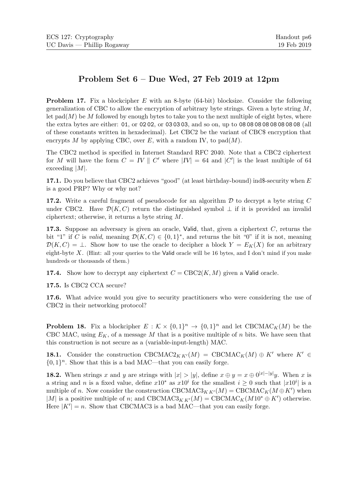## Problem Set 6 – Due Wed, 27 Feb 2019 at 12pm

**Problem 17.** Fix a blockcipher E with an 8-byte  $(64$ -bit) blocksize. Consider the following generalization of CBC to allow the encryption of arbitrary byte strings. Given a byte string  $M$ , let  $pad(M)$  be M followed by enough bytes to take you to the next multiple of eight bytes, where the extra bytes are either: 01, or 02 02, or 03 03 03, and so on, up to 08 08 08 08 08 08 08 08 (all of these constants written in hexadecimal). Let CBC2 be the variant of CBC\$ encryption that encrypts M by applying CBC, over E, with a random IV, to  $pad(M)$ .

The CBC2 method is specified in Internet Standard RFC 2040. Note that a CBC2 ciphertext for M will have the form  $C = IV \parallel C'$  where  $|IV| = 64$  and  $|C'|$  is the least multiple of 64 exceeding |M|.

17.1. Do you believe that CBC2 achieves "good" (at least birthday-bound) ind\$-security when  $E$ is a good PRP? Why or why not?

17.2. Write a careful fragment of pseudocode for an algorithm  $D$  to decrypt a byte string  $C$ under CBC2. Have  $\mathcal{D}(K, C)$  return the distinguished symbol  $\perp$  if it is provided an invalid ciphertext; otherwise, it returns a byte string M.

**17.3.** Suppose an adversary is given an oracle, Valid, that, given a ciphertext  $C$ , returns the bit "1" if C is valid, meaning  $\mathcal{D}(K, C) \in \{0, 1\}^*$ , and returns the bit "0" if it is not, meaning  $\mathcal{D}(K, C) = \perp$ . Show how to use the oracle to decipher a block  $Y = E_K(X)$  for an arbitrary eight-byte  $X$ . (Hint: all your queries to the Valid oracle will be 16 bytes, and I don't mind if you make hundreds or thousands of them.)

**17.4.** Show how to decrypt any ciphertext  $C = \text{CBC2}(K, M)$  given a Valid oracle.

17.5. Is CBC2 CCA secure?

17.6. What advice would you give to security practitioners who were considering the use of CBC2 in their networking protocol?

**Problem 18.** Fix a blockcipher  $E : \mathcal{K} \times \{0,1\}^n \to \{0,1\}^n$  and let CBCMAC<sub>K</sub>(M) be the CBC MAC, using  $E_K$ , of a message M that is a positive multiple of n bits. We have seen that this construction is not secure as a (variable-input-length) MAC.

18.1. Consider the construction CBCMAC2<sub>K K'</sub>(M) = CBCMAC<sub>K</sub>(M)  $\oplus$  K' where K' ∈  $\{0,1\}^n$ . Show that this is a bad MAC—that you can easily forge.

**18.2.** When strings x and y are strings with  $|x| > |y|$ , define  $x \oplus y = x \oplus 0^{|x|-|y|}y$ . When x is a string and n is a fixed value, define  $x10^*$  as  $x10^i$  for the smallest  $i \geq 0$  such that  $|x10^i|$  is a multiple of n. Now consider the construction  $\text{CBCMAC3}_{KK'}(M) = \text{CBCMAC}_{K}(M \oplus K')$  when |M| is a positive multiple of n; and CBCMAC3<sub>KK'</sub>(M) = CBCMAC<sub>K</sub>(M10<sup>\*</sup>  $\oplus$  K') otherwise. Here  $|K'| = n$ . Show that CBCMAC3 is a bad MAC—that you can easily forge.